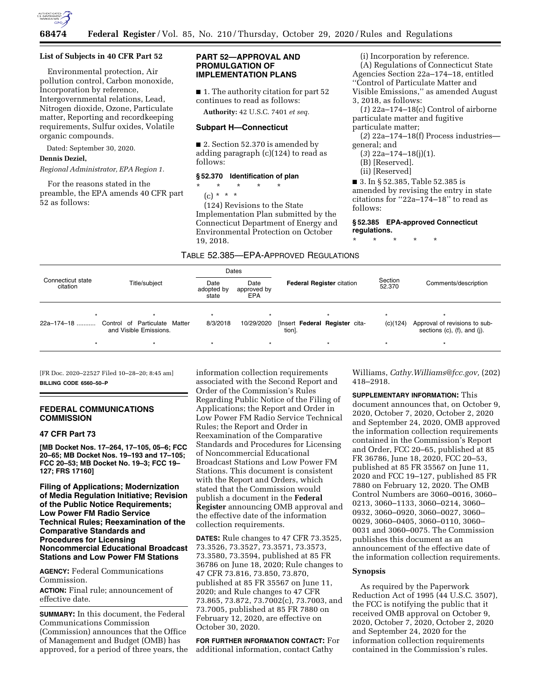

#### **List of Subjects in 40 CFR Part 52**

Environmental protection, Air pollution control, Carbon monoxide, Incorporation by reference, Intergovernmental relations, Lead, Nitrogen dioxide, Ozone, Particulate matter, Reporting and recordkeeping requirements, Sulfur oxides, Volatile organic compounds.

Dated: September 30, 2020.

# **Dennis Deziel,**

*Regional Administrator, EPA Region 1.* 

For the reasons stated in the preamble, the EPA amends 40 CFR part 52 as follows:

# **PART 52—APPROVAL AND PROMULGATION OF IMPLEMENTATION PLANS**

■ 1. The authority citation for part 52 continues to read as follows:

**Authority:** 42 U.S.C. 7401 *et seq.* 

#### **Subpart H—Connecticut**

■ 2. Section 52.370 is amended by adding paragraph (c)(124) to read as follows:

#### **§ 52.370 Identification of plan**

\* \* \* \* \*

(c) \* \* \*

(124) Revisions to the State Implementation Plan submitted by the Connecticut Department of Energy and Environmental Protection on October 19, 2018.

general; and (*3*) 22a–174–18(j)(1).

particulate matter and fugitive

(i) Incorporation by reference. (A) Regulations of Connecticut State Agencies Section 22a–174–18, entitled ''Control of Particulate Matter and Visible Emissions,'' as amended August

(B) [Reserved].

3, 2018, as follows:

particulate matter;

(ii) [Reserved]

■ 3. In § 52.385, Table 52.385 is amended by revising the entry in state citations for ''22a–174–18'' to read as follows:

(*1*) 22a–174–18(c) Control of airborne

(*2*) 22a–174–18(f) Process industries—

**§ 52.385 EPA-approved Connecticut regulations.** 

\* \* \* \* \*

# TABLE 52.385—EPA-APPROVED REGULATIONS

| Connecticut state<br>citation |                                                         |                             | Dates                      |                                          |    |                   | Comments/description                                                  |
|-------------------------------|---------------------------------------------------------|-----------------------------|----------------------------|------------------------------------------|----|-------------------|-----------------------------------------------------------------------|
|                               | Title/subject                                           | Date<br>adopted by<br>state | Date<br>approved by<br>EPA | <b>Federal Register citation</b>         |    | Section<br>52.370 |                                                                       |
| $\star$                       |                                                         |                             |                            |                                          |    | $\star$           |                                                                       |
| 22a-174-18                    | Control of Particulate Matter<br>and Visible Emissions. | 8/3/2018                    | 10/29/2020                 | [Insert Federal Register cita-<br>tion]. |    | (c)(124)          | Approval of revisions to sub-<br>sections $(c)$ , $(f)$ , and $(j)$ . |
|                               | $\star$                                                 |                             | $\star$                    |                                          | ۰. |                   |                                                                       |

[FR Doc. 2020–22527 Filed 10–28–20; 8:45 am] **BILLING CODE 6560–50–P** 

### **FEDERAL COMMUNICATIONS COMMISSION**

## **47 CFR Part 73**

**[MB Docket Nos. 17–264, 17–105, 05–6; FCC 20–65; MB Docket Nos. 19–193 and 17–105; FCC 20–53; MB Docket No. 19–3; FCC 19– 127; FRS 17160]** 

**Filing of Applications; Modernization of Media Regulation Initiative; Revision of the Public Notice Requirements; Low Power FM Radio Service Technical Rules; Reexamination of the Comparative Standards and Procedures for Licensing Noncommercial Educational Broadcast Stations and Low Power FM Stations** 

**AGENCY:** Federal Communications Commission.

**ACTION:** Final rule; announcement of effective date.

**SUMMARY:** In this document, the Federal Communications Commission (Commission) announces that the Office of Management and Budget (OMB) has approved, for a period of three years, the

information collection requirements associated with the Second Report and Order of the Commission's Rules Regarding Public Notice of the Filing of Applications; the Report and Order in Low Power FM Radio Service Technical Rules; the Report and Order in Reexamination of the Comparative Standards and Procedures for Licensing of Noncommercial Educational Broadcast Stations and Low Power FM Stations. This document is consistent with the Report and Orders, which stated that the Commission would publish a document in the **Federal Register** announcing OMB approval and the effective date of the information collection requirements.

**DATES:** Rule changes to 47 CFR 73.3525, 73.3526, 73.3527, 73.3571, 73.3573, 73.3580, 73.3594, published at 85 FR 36786 on June 18, 2020; Rule changes to 47 CFR 73.816, 73.850, 73.870, published at 85 FR 35567 on June 11, 2020; and Rule changes to 47 CFR 73.865, 73.872, 73.7002(c), 73.7003, and 73.7005, published at 85 FR 7880 on February 12, 2020, are effective on October 30, 2020.

**FOR FURTHER INFORMATION CONTACT:** For additional information, contact Cathy

Williams, *[Cathy.Williams@fcc.gov,](mailto:Cathy.Williams@fcc.gov)* (202) 418–2918.

**SUPPLEMENTARY INFORMATION:** This

document announces that, on October 9, 2020, October 7, 2020, October 2, 2020 and September 24, 2020, OMB approved the information collection requirements contained in the Commission's Report and Order, FCC 20–65, published at 85 FR 36786, June 18, 2020, FCC 20–53, published at 85 FR 35567 on June 11, 2020 and FCC 19–127, published 85 FR 7880 on February 12, 2020. The OMB Control Numbers are 3060–0016, 3060– 0213, 3060–1133, 3060–0214, 3060– 0932, 3060–0920, 3060–0027, 3060– 0029, 3060–0405, 3060–0110, 3060– 0031 and 3060–0075. The Commission publishes this document as an announcement of the effective date of the information collection requirements.

# **Synopsis**

As required by the Paperwork Reduction Act of 1995 (44 U.S.C. 3507), the FCC is notifying the public that it received OMB approval on October 9, 2020, October 7, 2020, October 2, 2020 and September 24, 2020 for the information collection requirements contained in the Commission's rules.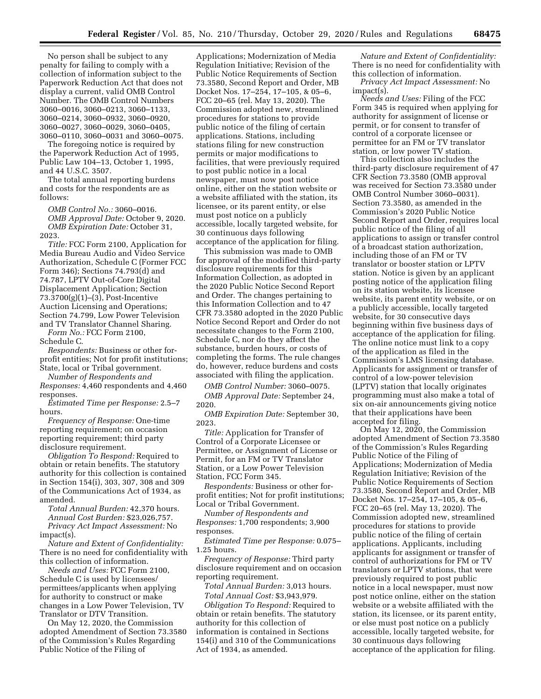No person shall be subject to any penalty for failing to comply with a collection of information subject to the Paperwork Reduction Act that does not display a current, valid OMB Control Number. The OMB Control Numbers 3060–0016, 3060–0213, 3060–1133, 3060–0214, 3060–0932, 3060–0920, 3060–0027, 3060–0029, 3060–0405, 3060–0110, 3060–0031 and 3060–0075.

The foregoing notice is required by the Paperwork Reduction Act of 1995, Public Law 104–13, October 1, 1995, and 44 U.S.C. 3507.

The total annual reporting burdens and costs for the respondents are as follows:

*OMB Control No.:* 3060–0016. *OMB Approval Date:* October 9, 2020. *OMB Expiration Date:* October 31, 2023.

*Title:* FCC Form 2100, Application for Media Bureau Audio and Video Service Authorization, Schedule C (Former FCC Form 346); Sections 74.793(d) and 74.787, LPTV Out-of-Core Digital Displacement Application; Section 73.3700(g)(1)–(3), Post-Incentive Auction Licensing and Operations; Section 74.799, Low Power Television and TV Translator Channel Sharing. *Form No.:* FCC Form 2100,

Schedule C.

*Respondents:* Business or other forprofit entities; Not for profit institutions; State, local or Tribal government.

*Number of Respondents and Responses:* 4,460 respondents and 4,460

responses. *Estimated Time per Response:* 2.5–7

hours. *Frequency of Response:* One-time

reporting requirement; on occasion reporting requirement; third party disclosure requirement.

*Obligation To Respond:* Required to obtain or retain benefits. The statutory authority for this collection is contained in Section 154(i), 303, 307, 308 and 309 of the Communications Act of 1934, as amended.

*Total Annual Burden:* 42,370 hours. *Annual Cost Burden:* \$23,026,757. *Privacy Act Impact Assessment:* No impact(s).

*Nature and Extent of Confidentiality:*  There is no need for confidentiality with this collection of information.

*Needs and Uses:* FCC Form 2100, Schedule C is used by licensees/ permittees/applicants when applying for authority to construct or make changes in a Low Power Television, TV Translator or DTV Transition.

On May 12, 2020, the Commission adopted Amendment of Section 73.3580 of the Commission's Rules Regarding Public Notice of the Filing of

Applications; Modernization of Media Regulation Initiative; Revision of the Public Notice Requirements of Section 73.3580, Second Report and Order, MB Docket Nos. 17–254, 17–105, & 05–6, FCC 20–65 (rel. May 13, 2020). The Commission adopted new, streamlined procedures for stations to provide public notice of the filing of certain applications. Stations, including stations filing for new construction permits or major modifications to facilities, that were previously required to post public notice in a local newspaper, must now post notice online, either on the station website or a website affiliated with the station, its licensee, or its parent entity, or else must post notice on a publicly accessible, locally targeted website, for 30 continuous days following acceptance of the application for filing.

This submission was made to OMB for approval of the modified third-party disclosure requirements for this Information Collection, as adopted in the 2020 Public Notice Second Report and Order. The changes pertaining to this Information Collection and to 47 CFR 73.3580 adopted in the 2020 Public Notice Second Report and Order do not necessitate changes to the Form 2100, Schedule C, nor do they affect the substance, burden hours, or costs of completing the forms. The rule changes do, however, reduce burdens and costs associated with filing the application.

*OMB Control Number:* 3060–0075. *OMB Approval Date:* September 24, 2020.

*OMB Expiration Date:* September 30, 2023.

*Title:* Application for Transfer of Control of a Corporate Licensee or Permittee, or Assignment of License or Permit, for an FM or TV Translator Station, or a Low Power Television Station, FCC Form 345.

*Respondents:* Business or other forprofit entities; Not for profit institutions; Local or Tribal Government.

*Number of Respondents and Responses:* 1,700 respondents; 3,900 responses.

*Estimated Time per Response:* 0.075– 1.25 hours.

*Frequency of Response:* Third party disclosure requirement and on occasion reporting requirement.

*Total Annual Burden:* 3,013 hours. *Total Annual Cost:* \$3,943,979.

*Obligation To Respond:* Required to obtain or retain benefits. The statutory authority for this collection of information is contained in Sections 154(i) and 310 of the Communications Act of 1934, as amended.

*Nature and Extent of Confidentiality:*  There is no need for confidentiality with this collection of information.

*Privacy Act Impact Assessment:* No impact(s).

*Needs and Uses:* Filing of the FCC Form 345 is required when applying for authority for assignment of license or permit, or for consent to transfer of control of a corporate licensee or permittee for an FM or TV translator station, or low power TV station.

This collection also includes the third-party disclosure requirement of 47 CFR Section 73.3580 (OMB approval was received for Section 73.3580 under OMB Control Number 3060–0031). Section 73.3580, as amended in the Commission's 2020 Public Notice Second Report and Order, requires local public notice of the filing of all applications to assign or transfer control of a broadcast station authorization, including those of an FM or TV translator or booster station or LPTV station. Notice is given by an applicant posting notice of the application filing on its station website, its licensee website, its parent entity website, or on a publicly accessible, locally targeted website, for 30 consecutive days beginning within five business days of acceptance of the application for filing. The online notice must link to a copy of the application as filed in the Commission's LMS licensing database. Applicants for assignment or transfer of control of a low-power television (LPTV) station that locally originates programming must also make a total of six on-air announcements giving notice that their applications have been accepted for filing.

On May 12, 2020, the Commission adopted Amendment of Section 73.3580 of the Commission's Rules Regarding Public Notice of the Filing of Applications; Modernization of Media Regulation Initiative; Revision of the Public Notice Requirements of Section 73.3580, Second Report and Order, MB Docket Nos. 17–254, 17–105, & 05–6, FCC 20–65 (rel. May 13, 2020). The Commission adopted new, streamlined procedures for stations to provide public notice of the filing of certain applications. Applicants, including applicants for assignment or transfer of control of authorizations for FM or TV translators or LPTV stations, that were previously required to post public notice in a local newspaper, must now post notice online, either on the station website or a website affiliated with the station, its licensee, or its parent entity, or else must post notice on a publicly accessible, locally targeted website, for 30 continuous days following acceptance of the application for filing.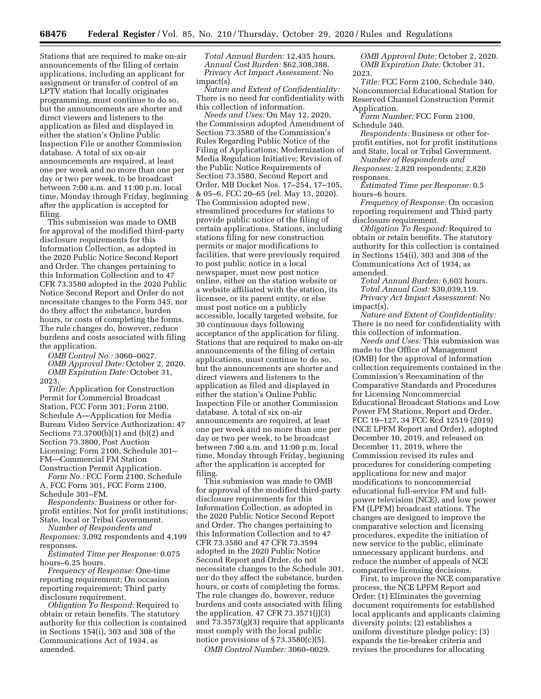Stations that are required to make on-air announcements of the filing of certain applications, including an applicant for assignment or transfer of control of an LPTV station that locally originates programming, must continue to do so, but the announcements are shorter and direct viewers and listeners to the application as filed and displayed in either the station's Online Public Inspection File or another Commission database. A total of six on-air announcements are required, at least one per week and no more than one per day or two per week, to be broadcast between 7:00 a.m. and 11:00 p.m. local time, Monday through Friday, beginning after the application is accepted for filing.

This submission was made to OMB for approval of the modified third-party disclosure requirements for this Information Collection, as adopted in the 2020 Public Notice Second Report and Order. The changes pertaining to this Information Collection and to 47 CFR 73.3580 adopted in the 2020 Public Notice Second Report and Order do not necessitate changes to the Form 345, nor do they affect the substance, burden hours, or costs of completing the forms. The rule changes do, however, reduce burdens and costs associated with filing the application.

*OMB Control No.:* 3060–0027. *OMB Approval Date:* October 2, 2020. *OMB Expiration Date:* October 31, 2023.

*Title:* Application for Construction Permit for Commercial Broadcast Station, FCC Form 301; Form 2100, Schedule A—Application for Media Bureau Video Service Authorization; 47 Sections 73.3700(b)(1) and (b)(2) and Section 73.3800, Post Auction Licensing; Form 2100, Schedule 301– FM—Commercial FM Station Construction Permit Application.

*Form No.:* FCC Form 2100, Schedule A, FCC Form 301, FCC Form 2100, Schedule 301–FM.

*Respondents:* Business or other forprofit entities; Not for profit institutions; State, local or Tribal Government.

*Number of Respondents and Responses:* 3,092 respondents and 4,199 responses.

*Estimated Time per Response:* 0.075 hours–6.25 hours.

*Frequency of Response:* One-time reporting requirement; On occasion reporting requirement; Third party disclosure requirement.

*Obligation To Respond:* Required to obtain or retain benefits. The statutory authority for this collection is contained in Sections 154(i), 303 and 308 of the Communications Act of 1934, as amended.

*Total Annual Burden:* 12,435 hours. *Annual Cost Burden:* \$62,308,388. *Privacy Act Impact Assessment:* No impact(s).

*Nature and Extent of Confidentiality:*  There is no need for confidentiality with this collection of information.

*Needs and Uses:* On May 12, 2020, the Commission adopted Amendment of Section 73.3580 of the Commission's Rules Regarding Public Notice of the Filing of Applications; Modernization of Media Regulation Initiative; Revision of the Public Notice Requirements of Section 73.3580, Second Report and Order, MB Docket Nos. 17–254, 17–105, & 05–6, FCC 20–65 (rel. May 13, 2020). The Commission adopted new, streamlined procedures for stations to provide public notice of the filing of certain applications. Stations, including stations filing for new construction permits or major modifications to facilities, that were previously required to post public notice in a local newspaper, must now post notice online, either on the station website or a website affiliated with the station, its licensee, or its parent entity, or else must post notice on a publicly accessible, locally targeted website, for 30 continuous days following acceptance of the application for filing. Stations that are required to make on-air announcements of the filing of certain applications, must continue to do so, but the announcements are shorter and direct viewers and listeners to the application as filed and displayed in either the station's Online Public Inspection File or another Commission database. A total of six on-air announcements are required, at least one per week and no more than one per day or two per week, to be broadcast between 7:00 a.m. and 11:00 p.m. local time, Monday through Friday, beginning after the application is accepted for filing.

This submission was made to OMB for approval of the modified third-party disclosure requirements for this Information Collection, as adopted in the 2020 Public Notice Second Report and Order. The changes pertaining to this Information Collection and to 47 CFR 73.3580 and 47 CFR 73.3594 adopted in the 2020 Public Notice Second Report and Order, do not necessitate changes to the Schedule 301, nor do they affect the substance, burden hours, or costs of completing the forms. The rule changes do, however, reduce burdens and costs associated with filing the application.  $47$  CFR  $73.3571(i)(3)$ and 73.3573(g)(3) require that applicants must comply with the local public notice provisions of  $\S 73.3580(c)(5)$ .

*OMB Control Number:* 3060–0029.

*OMB Approval Date:* October 2, 2020. *OMB Expiration Date:* October 31, 2023.

*Title:* FCC Form 2100, Schedule 340, Noncommercial Educational Station for Reserved Channel Construction Permit Application.

*Form Number:* FCC Form 2100, Schedule 340.

*Respondents:* Business or other forprofit entities, not for profit institutions and State, local or Tribal Government.

*Number of Respondents and Responses:* 2,820 respondents; 2,820 responses.

*Estimated Time per Response:* 0.5 hours–6 hours.

*Frequency of Response:* On occasion reporting requirement and Third party disclosure requirement.

*Obligation To Respond:* Required to obtain or retain benefits. The statutory authority for this collection is contained in Sections 154(i), 303 and 308 of the Communications Act of 1934, as amended.

*Total Annual Burden:* 6,603 hours. *Total Annual Cost:* \$30,039,119. *Privacy Act Impact Assessment:* No impact(s).

*Nature and Extent of Confidentiality:*  There is no need for confidentiality with this collection of information.

*Needs and Uses:* This submission was made to the Office of Management (OMB) for the approval of information collection requirements contained in the Commission's Reexamination of the Comparative Standards and Procedures for Licensing Noncommercial Educational Broadcast Stations and Low Power FM Stations, Report and Order, FCC 19–127, 34 FCC Rcd 12519 (2019) (NCE LPFM Report and Order), adopted December 10, 2019, and released on December 11, 2019, where the Commission revised its rules and procedures for considering competing applications for new and major modifications to noncommercial educational full-service FM and fullpower television (NCE), and low power FM (LPFM) broadcast stations. The changes are designed to improve the comparative selection and licensing procedures, expedite the initiation of new service to the public, eliminate unnecessary applicant burdens, and reduce the number of appeals of NCE comparative licensing decisions.

First, to improve the NCE comparative process, the NCE LPFM Report and Order: (1) Eliminates the governing document requirements for established local applicants and applicants claiming diversity points; (2) establishes a uniform divestiture pledge policy; (3) expands the tie-breaker criteria and revises the procedures for allocating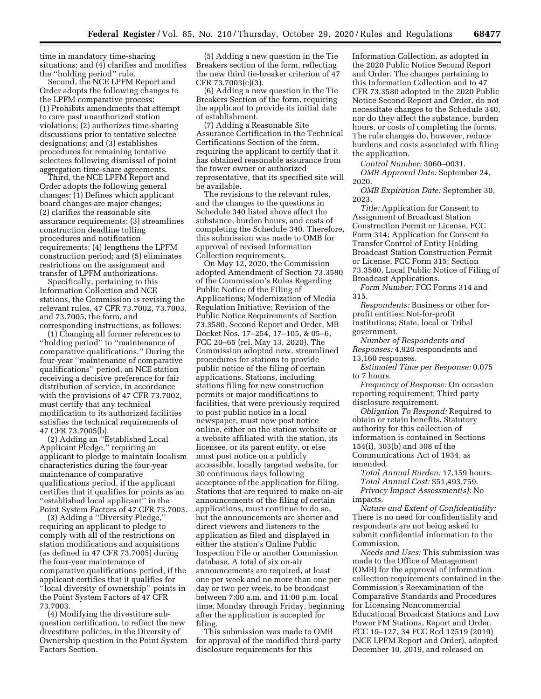time in mandatory time-sharing situations; and (4) clarifies and modifies the ''holding period'' rule.

Second, the NCE LPFM Report and Order adopts the following changes to the LPFM comparative process: (1) Prohibits amendments that attempt to cure past unauthorized station violations; (2) authorizes time-sharing discussions prior to tentative selectee designations; and (3) establishes procedures for remaining tentative selectees following dismissal of point aggregation time-share agreements.

Third, the NCE LPFM Report and Order adopts the following general changes: (1) Defines which applicant board changes are major changes; (2) clarifies the reasonable site assurance requirements; (3) streamlines construction deadline tolling procedures and notification requirements; (4) lengthens the LPFM construction period; and (5) eliminates restrictions on the assignment and transfer of LPFM authorizations.

Specifically, pertaining to this Information Collection and NCE stations, the Commission is revising the relevant rules, 47 CFR 73.7002, 73.7003, and 73.7005, the form, and corresponding instructions, as follows:

(1) Changing all former references to ''holding period'' to ''maintenance of comparative qualifications.'' During the four-year ''maintenance of comparative qualifications'' period, an NCE station receiving a decisive preference for fair distribution of service, in accordance with the provisions of 47 CFR 73.7002, must certify that any technical modification to its authorized facilities satisfies the technical requirements of 47 CFR 73.7005(b).

(2) Adding an ''Established Local Applicant Pledge,'' requiring an applicant to pledge to maintain localism characteristics during the four-year maintenance of comparative qualifications period, if the applicant certifies that it qualifies for points as an ''established local applicant'' in the Point System Factors of 47 CFR 73.7003.

(3) Adding a ''Diversity Pledge,'' requiring an applicant to pledge to comply with all of the restrictions on station modifications and acquisitions (as defined in 47 CFR 73.7005) during the four-year maintenance of comparative qualifications period, if the applicant certifies that it qualifies for ''local diversity of ownership'' points in the Point System Factors of 47 CFR 73.7003.

(4) Modifying the divestiture subquestion certification, to reflect the new divestiture policies, in the Diversity of Ownership question in the Point System Factors Section.

(5) Adding a new question in the Tie Breakers section of the form, reflecting the new third tie-breaker criterion of 47 CFR 73.7003(c)(3).

(6) Adding a new question in the Tie Breakers Section of the form, requiring the applicant to provide its initial date of establishment.

(7) Adding a Reasonable Site Assurance Certification in the Technical Certifications Section of the form, requiring the applicant to certify that it has obtained reasonable assurance from the tower owner or authorized representative, that its specified site will be available.

The revisions to the relevant rules, and the changes to the questions in Schedule 340 listed above affect the substance, burden hours, and costs of completing the Schedule 340. Therefore, this submission was made to OMB for approval of revised Information Collection requirements.

On May 12, 2020, the Commission adopted Amendment of Section 73.3580 of the Commission's Rules Regarding Public Notice of the Filing of Applications; Modernization of Media Regulation Initiative; Revision of the Public Notice Requirements of Section 73.3580, Second Report and Order, MB Docket Nos. 17–254, 17–105, & 05–6, FCC 20–65 (rel. May 13, 2020). The Commission adopted new, streamlined procedures for stations to provide public notice of the filing of certain applications. Stations, including stations filing for new construction permits or major modifications to facilities, that were previously required to post public notice in a local newspaper, must now post notice online, either on the station website or a website affiliated with the station, its licensee, or its parent entity, or else must post notice on a publicly accessible, locally targeted website, for 30 continuous days following acceptance of the application for filing. Stations that are required to make on-air announcements of the filing of certain applications, must continue to do so, but the announcements are shorter and direct viewers and listeners to the application as filed and displayed in either the station's Online Public Inspection File or another Commission database. A total of six on-air announcements are required, at least one per week and no more than one per day or two per week, to be broadcast between 7:00 a.m. and 11:00 p.m. local time, Monday through Friday, beginning after the application is accepted for filing.

This submission was made to OMB for approval of the modified third-party disclosure requirements for this

Information Collection, as adopted in the 2020 Public Notice Second Report and Order. The changes pertaining to this Information Collection and to 47 CFR 73.3580 adopted in the 2020 Public Notice Second Report and Order, do not necessitate changes to the Schedule 340, nor do they affect the substance, burden hours, or costs of completing the forms. The rule changes do, however, reduce burdens and costs associated with filing the application.

*Control Number:* 3060–0031. *OMB Approval Date:* September 24, 2020.

*OMB Expiration Date:* September 30, 2023.

*Title:* Application for Consent to Assignment of Broadcast Station Construction Permit or License, FCC Form 314; Application for Consent to Transfer Control of Entity Holding Broadcast Station Construction Permit or License, FCC Form 315; Section 73.3580, Local Public Notice of Filing of Broadcast Applications.

*Form Number:* FCC Forms 314 and 315.

*Respondents:* Business or other forprofit entities; Not-for-profit institutions; State, local or Tribal government.

*Number of Respondents and Responses:* 4,920 respondents and 13,160 responses.

*Estimated Time per Response:* 0.075 to 7 hours.

*Frequency of Response:* On occasion reporting requirement; Third party disclosure requirement.

*Obligation To Respond:* Required to obtain or retain benefits. Statutory authority for this collection of information is contained in Sections 154(i), 303(b) and 308 of the Communications Act of 1934, as amended.

*Total Annual Burden:* 17,159 hours. *Total Annual Cost:* \$51,493,759. *Privacy Impact Assessment(s):* No impacts.

*Nature and Extent of Confidentiality:*  There is no need for confidentiality and respondents are not being asked to submit confidential information to the Commission.

*Needs and Uses:* This submission was made to the Office of Management (OMB) for the approval of information collection requirements contained in the Commission's Reexamination of the Comparative Standards and Procedures for Licensing Noncommercial Educational Broadcast Stations and Low Power FM Stations, Report and Order, FCC 19–127, 34 FCC Rcd 12519 (2019) (NCE LPFM Report and Order), adopted December 10, 2019, and released on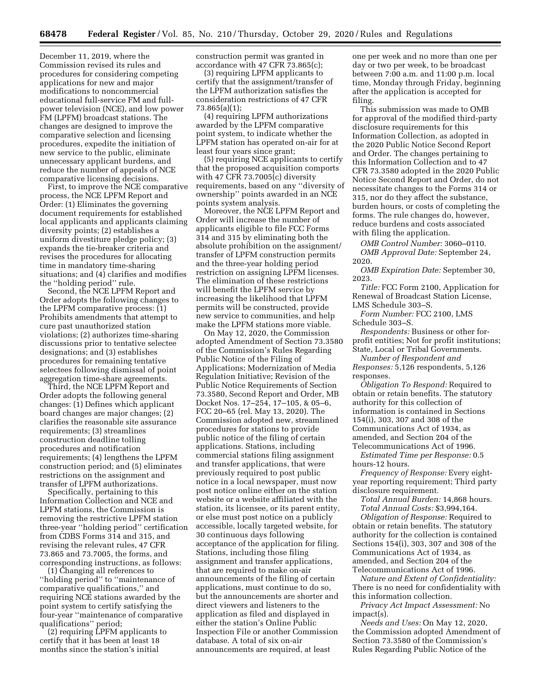December 11, 2019, where the Commission revised its rules and procedures for considering competing applications for new and major modifications to noncommercial educational full-service FM and fullpower television (NCE), and low power FM (LPFM) broadcast stations. The changes are designed to improve the comparative selection and licensing procedures, expedite the initiation of new service to the public, eliminate unnecessary applicant burdens, and reduce the number of appeals of NCE comparative licensing decisions.

First, to improve the NCE comparative process, the NCE LPFM Report and Order: (1) Eliminates the governing document requirements for established local applicants and applicants claiming diversity points; (2) establishes a uniform divestiture pledge policy; (3) expands the tie-breaker criteria and revises the procedures for allocating time in mandatory time-sharing situations; and (4) clarifies and modifies the ''holding period'' rule.

Second, the NCE LPFM Report and Order adopts the following changes to the LPFM comparative process: (1) Prohibits amendments that attempt to cure past unauthorized station violations; (2) authorizes time-sharing discussions prior to tentative selectee designations; and (3) establishes procedures for remaining tentative selectees following dismissal of point aggregation time-share agreements.

Third, the NCE LPFM Report and Order adopts the following general changes: (1) Defines which applicant board changes are major changes; (2) clarifies the reasonable site assurance requirements; (3) streamlines construction deadline tolling procedures and notification requirements; (4) lengthens the LPFM construction period; and (5) eliminates restrictions on the assignment and transfer of LPFM authorizations.

Specifically, pertaining to this Information Collection and NCE and LPFM stations, the Commission is removing the restrictive LPFM station three-year ''holding period'' certification from CDBS Forms 314 and 315, and revising the relevant rules, 47 CFR 73.865 and 73.7005, the forms, and corresponding instructions, as follows:

(1) Changing all references to ''holding period'' to ''maintenance of comparative qualifications,'' and requiring NCE stations awarded by the point system to certify satisfying the four-year ''maintenance of comparative qualifications'' period;

(2) requiring LPFM applicants to certify that it has been at least 18 months since the station's initial

construction permit was granted in accordance with 47 CFR 73.865(c);

(3) requiring LPFM applicants to certify that the assignment/transfer of the LPFM authorization satisfies the consideration restrictions of 47 CFR 73.865(a)(1);

(4) requiring LPFM authorizations awarded by the LPFM comparative point system, to indicate whether the LPFM station has operated on-air for at least four years since grant;

(5) requiring NCE applicants to certify that the proposed acquisition comports with 47 CFR 73.7005(c) diversity requirements, based on any ''diversity of ownership'' points awarded in an NCE points system analysis.

Moreover, the NCE LPFM Report and Order will increase the number of applicants eligible to file FCC Forms 314 and 315 by eliminating both the absolute prohibition on the assignment/ transfer of LPFM construction permits and the three-year holding period restriction on assigning LPFM licenses. The elimination of these restrictions will benefit the LPFM service by increasing the likelihood that LPFM permits will be constructed, provide new service to communities, and help make the LPFM stations more viable.

On May 12, 2020, the Commission adopted Amendment of Section 73.3580 of the Commission's Rules Regarding Public Notice of the Filing of Applications; Modernization of Media Regulation Initiative; Revision of the Public Notice Requirements of Section 73.3580, Second Report and Order, MB Docket Nos. 17–254, 17–105, & 05–6, FCC 20–65 (rel. May 13, 2020). The Commission adopted new, streamlined procedures for stations to provide public notice of the filing of certain applications. Stations, including commercial stations filing assignment and transfer applications, that were previously required to post public notice in a local newspaper, must now post notice online either on the station website or a website affiliated with the station, its licensee, or its parent entity, or else must post notice on a publicly accessible, locally targeted website, for 30 continuous days following acceptance of the application for filing. Stations, including those filing assignment and transfer applications, that are required to make on-air announcements of the filing of certain applications, must continue to do so, but the announcements are shorter and direct viewers and listeners to the application as filed and displayed in either the station's Online Public Inspection File or another Commission database. A total of six on-air announcements are required, at least

one per week and no more than one per day or two per week, to be broadcast between 7:00 a.m. and 11:00 p.m. local time, Monday through Friday, beginning after the application is accepted for filing.

This submission was made to OMB for approval of the modified third-party disclosure requirements for this Information Collection, as adopted in the 2020 Public Notice Second Report and Order. The changes pertaining to this Information Collection and to 47 CFR 73.3580 adopted in the 2020 Public Notice Second Report and Order, do not necessitate changes to the Forms 314 or 315, nor do they affect the substance, burden hours, or costs of completing the forms. The rule changes do, however, reduce burdens and costs associated with filing the application.

*OMB Control Number:* 3060–0110. *OMB Approval Date:* September 24, 2020.

*OMB Expiration Date:* September 30, 2023.

*Title:* FCC Form 2100, Application for Renewal of Broadcast Station License, LMS Schedule 303–S.

*Form Number:* FCC 2100, LMS Schedule 303–S.

*Respondents:* Business or other forprofit entities; Not for profit institutions; State, Local or Tribal Governments.

*Number of Respondent and Responses:* 5,126 respondents, 5,126

responses.

*Obligation To Respond:* Required to obtain or retain benefits. The statutory authority for this collection of information is contained in Sections 154(i), 303, 307 and 308 of the Communications Act of 1934, as amended, and Section 204 of the Telecommunications Act of 1996.

*Estimated Time per Response:* 0.5 hours-12 hours.

*Frequency of Response:* Every eightyear reporting requirement; Third party disclosure requirement.

*Total Annual Burden:* 14,868 hours. *Total Annual Costs:* \$3,994,164.

*Obligation of Response:* Required to obtain or retain benefits. The statutory authority for the collection is contained Sections 154(i), 303, 307 and 308 of the Communications Act of 1934, as amended, and Section 204 of the Telecommunications Act of 1996.

*Nature and Extent of Confidentiality:*  There is no need for confidentiality with this information collection.

*Privacy Act Impact Assessment:* No impact(s).

*Needs and Uses:* On May 12, 2020, the Commission adopted Amendment of Section 73.3580 of the Commission's Rules Regarding Public Notice of the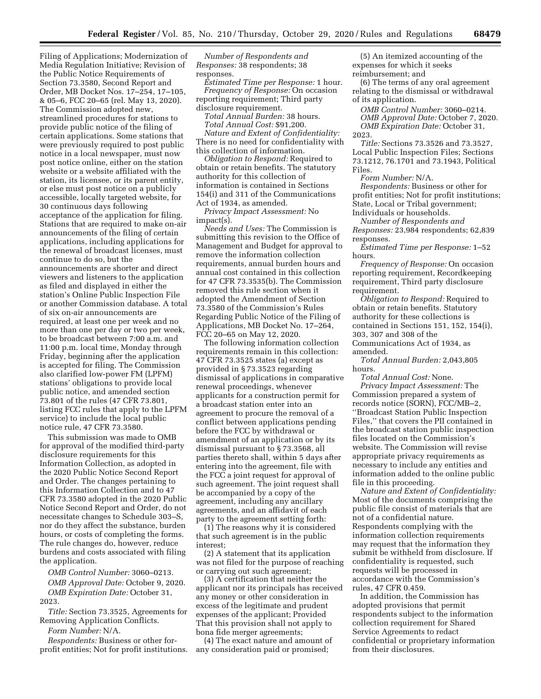Filing of Applications; Modernization of Media Regulation Initiative; Revision of the Public Notice Requirements of Section 73.3580, Second Report and Order, MB Docket Nos. 17–254, 17–105, & 05–6, FCC 20–65 (rel. May 13, 2020). The Commission adopted new, streamlined procedures for stations to provide public notice of the filing of certain applications. Some stations that were previously required to post public notice in a local newspaper, must now post notice online, either on the station website or a website affiliated with the station, its licensee, or its parent entity, or else must post notice on a publicly accessible, locally targeted website, for 30 continuous days following acceptance of the application for filing. Stations that are required to make on-air announcements of the filing of certain applications, including applications for the renewal of broadcast licenses, must continue to do so, but the announcements are shorter and direct viewers and listeners to the application as filed and displayed in either the station's Online Public Inspection File or another Commission database. A total of six on-air announcements are required, at least one per week and no more than one per day or two per week, to be broadcast between 7:00 a.m. and 11:00 p.m. local time, Monday through Friday, beginning after the application is accepted for filing. The Commission also clarified low-power FM (LPFM) stations' obligations to provide local public notice, and amended section 73.801 of the rules (47 CFR 73.801, listing FCC rules that apply to the LPFM service) to include the local public notice rule, 47 CFR 73.3580.

This submission was made to OMB for approval of the modified third-party disclosure requirements for this Information Collection, as adopted in the 2020 Public Notice Second Report and Order. The changes pertaining to this Information Collection and to 47 CFR 73.3580 adopted in the 2020 Public Notice Second Report and Order, do not necessitate changes to Schedule 303–S, nor do they affect the substance, burden hours, or costs of completing the forms. The rule changes do, however, reduce burdens and costs associated with filing the application.

*OMB Control Number:* 3060–0213. *OMB Approval Date:* October 9, 2020. *OMB Expiration Date:* October 31, 2023.

*Title:* Section 73.3525, Agreements for Removing Application Conflicts.

*Form Number:* N/A.

*Respondents:* Business or other forprofit entities; Not for profit institutions.

*Number of Respondents and Responses:* 38 respondents; 38 responses.

*Estimated Time per Response:* 1 hour. *Frequency of Response:* On occasion reporting requirement; Third party disclosure requirement.

*Total Annual Burden:* 38 hours. *Total Annual Cost:* \$91,200.

*Nature and Extent of Confidentiality:*  There is no need for confidentiality with this collection of information.

*Obligation to Respond:* Required to obtain or retain benefits. The statutory authority for this collection of information is contained in Sections 154(i) and 311 of the Communications Act of 1934, as amended.

*Privacy Impact Assessment:* No impact(s).

*Needs and Uses:* The Commission is submitting this revision to the Office of Management and Budget for approval to remove the information collection requirements, annual burden hours and annual cost contained in this collection for 47 CFR 73.3535(b). The Commission removed this rule section when it adopted the Amendment of Section 73.3580 of the Commission's Rules Regarding Public Notice of the Filing of Applications, MB Docket No. 17–264, FCC 20–65 on May 12, 2020.

The following information collection requirements remain in this collection: 47 CFR 73.3525 states (a) except as provided in § 73.3523 regarding dismissal of applications in comparative renewal proceedings, whenever applicants for a construction permit for a broadcast station enter into an agreement to procure the removal of a conflict between applications pending before the FCC by withdrawal or amendment of an application or by its dismissal pursuant to § 73.3568, all parties thereto shall, within 5 days after entering into the agreement, file with the FCC a joint request for approval of such agreement. The joint request shall be accompanied by a copy of the agreement, including any ancillary agreements, and an affidavit of each party to the agreement setting forth:

(1) The reasons why it is considered that such agreement is in the public interest;

(2) A statement that its application was not filed for the purpose of reaching or carrying out such agreement;

(3) A certification that neither the applicant nor its principals has received any money or other consideration in excess of the legitimate and prudent expenses of the applicant; Provided That this provision shall not apply to bona fide merger agreements;

(4) The exact nature and amount of any consideration paid or promised;

(5) An itemized accounting of the expenses for which it seeks reimbursement; and

(6) The terms of any oral agreement relating to the dismissal or withdrawal of its application.

*OMB Control Number:* 3060–0214. *OMB Approval Date:* October 7, 2020. *OMB Expiration Date:* October 31, 2023.

*Title:* Sections 73.3526 and 73.3527, Local Public Inspection Files; Sections 73.1212, 76.1701 and 73.1943, Political Files.

*Form Number:* N/A.

*Respondents:* Business or other for profit entities; Not for profit institutions; State, Local or Tribal government; Individuals or households.

*Number of Respondents and Responses:* 23,984 respondents; 62,839 responses.

*Estimated Time per Response:* 1–52 hours.

*Frequency of Response:* On occasion reporting requirement, Recordkeeping requirement, Third party disclosure requirement.

*Obligation to Respond:* Required to obtain or retain benefits. Statutory authority for these collections is contained in Sections 151, 152, 154(i), 303, 307 and 308 of the Communications Act of 1934, as amended.

*Total Annual Burden:* 2,043,805 hours.

*Total Annual Cost:* None.

*Privacy Impact Assessment:* The Commission prepared a system of records notice (SORN), FCC/MB–2, ''Broadcast Station Public Inspection Files,'' that covers the PII contained in the broadcast station public inspection files located on the Commission's website. The Commission will revise appropriate privacy requirements as necessary to include any entities and information added to the online public file in this proceeding.

*Nature and Extent of Confidentiality:*  Most of the documents comprising the public file consist of materials that are not of a confidential nature. Respondents complying with the information collection requirements may request that the information they submit be withheld from disclosure. If confidentiality is requested, such requests will be processed in accordance with the Commission's rules, 47 CFR 0.459.

In addition, the Commission has adopted provisions that permit respondents subject to the information collection requirement for Shared Service Agreements to redact confidential or proprietary information from their disclosures.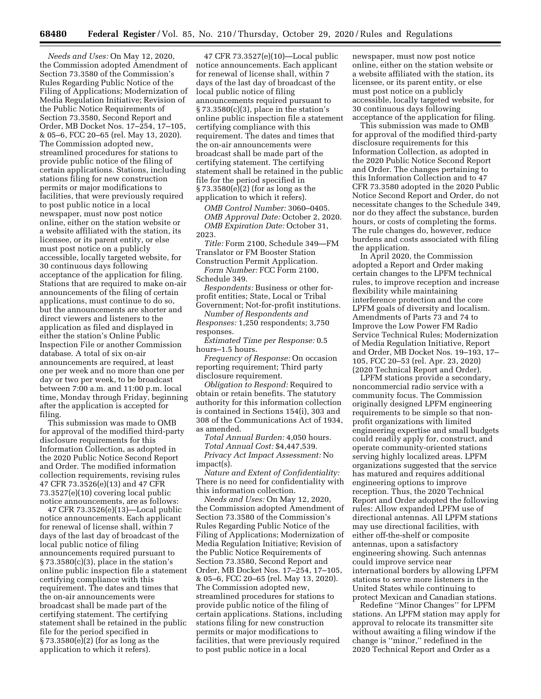*Needs and Uses:* On May 12, 2020, the Commission adopted Amendment of Section 73.3580 of the Commission's Rules Regarding Public Notice of the Filing of Applications; Modernization of Media Regulation Initiative; Revision of the Public Notice Requirements of Section 73.3580, Second Report and Order, MB Docket Nos. 17–254, 17–105, & 05–6, FCC 20–65 (rel. May 13, 2020). The Commission adopted new, streamlined procedures for stations to provide public notice of the filing of certain applications. Stations, including stations filing for new construction permits or major modifications to facilities, that were previously required to post public notice in a local newspaper, must now post notice online, either on the station website or a website affiliated with the station, its licensee, or its parent entity, or else must post notice on a publicly accessible, locally targeted website, for 30 continuous days following acceptance of the application for filing. Stations that are required to make on-air announcements of the filing of certain applications, must continue to do so, but the announcements are shorter and direct viewers and listeners to the application as filed and displayed in either the station's Online Public Inspection File or another Commission database. A total of six on-air announcements are required, at least one per week and no more than one per day or two per week, to be broadcast between 7:00 a.m. and 11:00 p.m. local time, Monday through Friday, beginning after the application is accepted for filing.

This submission was made to OMB for approval of the modified third-party disclosure requirements for this Information Collection, as adopted in the 2020 Public Notice Second Report and Order. The modified information collection requirements, revising rules 47 CFR 73.3526(e)(13) and 47 CFR 73.3527(e)(10) covering local public notice announcements, are as follows:

47 CFR 73.3526(e)(13)—Local public notice announcements. Each applicant for renewal of license shall, within 7 days of the last day of broadcast of the local public notice of filing announcements required pursuant to § 73.3580(c)(3), place in the station's online public inspection file a statement certifying compliance with this requirement. The dates and times that the on-air announcements were broadcast shall be made part of the certifying statement. The certifying statement shall be retained in the public file for the period specified in § 73.3580(e)(2) (for as long as the application to which it refers).

47 CFR 73.3527(e)(10)—Local public notice announcements. Each applicant for renewal of license shall, within 7 days of the last day of broadcast of the local public notice of filing announcements required pursuant to § 73.3580(c)(3), place in the station's online public inspection file a statement certifying compliance with this requirement. The dates and times that the on-air announcements were broadcast shall be made part of the certifying statement. The certifying statement shall be retained in the public file for the period specified in § 73.3580(e)(2) (for as long as the application to which it refers).

*OMB Control Number:* 3060–0405. *OMB Approval Date:* October 2, 2020. *OMB Expiration Date:* October 31, 2023.

*Title:* Form 2100, Schedule 349—FM Translator or FM Booster Station Construction Permit Application. *Form Number:* FCC Form 2100,

Schedule 349.

*Respondents:* Business or other forprofit entities; State, Local or Tribal Government; Not-for-profit institutions.

*Number of Respondents and Responses:* 1,250 respondents; 3,750 responses.

*Estimated Time per Response:* 0.5 hours–1.5 hours.

*Frequency of Response:* On occasion reporting requirement; Third party disclosure requirement.

*Obligation to Respond:* Required to obtain or retain benefits. The statutory authority for this information collection is contained in Sections 154(i), 303 and 308 of the Communications Act of 1934, as amended.

*Total Annual Burden:* 4,050 hours. *Total Annual Cost:* \$4,447,539.

*Privacy Act Impact Assessment:* No impact(s).

*Nature and Extent of Confidentiality:*  There is no need for confidentiality with this information collection.

*Needs and Uses:* On May 12, 2020, the Commission adopted Amendment of Section 73.3580 of the Commission's Rules Regarding Public Notice of the Filing of Applications; Modernization of Media Regulation Initiative; Revision of the Public Notice Requirements of Section 73.3580, Second Report and Order, MB Docket Nos. 17–254, 17–105, & 05–6, FCC 20–65 (rel. May 13, 2020). The Commission adopted new, streamlined procedures for stations to provide public notice of the filing of certain applications. Stations, including stations filing for new construction permits or major modifications to facilities, that were previously required to post public notice in a local

newspaper, must now post notice online, either on the station website or a website affiliated with the station, its licensee, or its parent entity, or else must post notice on a publicly accessible, locally targeted website, for 30 continuous days following acceptance of the application for filing.

This submission was made to OMB for approval of the modified third-party disclosure requirements for this Information Collection, as adopted in the 2020 Public Notice Second Report and Order. The changes pertaining to this Information Collection and to 47 CFR 73.3580 adopted in the 2020 Public Notice Second Report and Order, do not necessitate changes to the Schedule 349, nor do they affect the substance, burden hours, or costs of completing the forms. The rule changes do, however, reduce burdens and costs associated with filing the application.

In April 2020, the Commission adopted a Report and Order making certain changes to the LPFM technical rules, to improve reception and increase flexibility while maintaining interference protection and the core LPFM goals of diversity and localism. Amendments of Parts 73 and 74 to Improve the Low Power FM Radio Service Technical Rules; Modernization of Media Regulation Initiative, Report and Order, MB Docket Nos. 19–193, 17– 105, FCC 20–53 (rel. Apr. 23, 2020) (2020 Technical Report and Order).

LPFM stations provide a secondary, noncommercial radio service with a community focus. The Commission originally designed LPFM engineering requirements to be simple so that nonprofit organizations with limited engineering expertise and small budgets could readily apply for, construct, and operate community-oriented stations serving highly localized areas. LPFM organizations suggested that the service has matured and requires additional engineering options to improve reception. Thus, the 2020 Technical Report and Order adopted the following rules: Allow expanded LPFM use of directional antennas. All LPFM stations may use directional facilities, with either off-the-shelf or composite antennas, upon a satisfactory engineering showing. Such antennas could improve service near international borders by allowing LPFM stations to serve more listeners in the United States while continuing to protect Mexican and Canadian stations.

Redefine ''Minor Changes'' for LPFM stations. An LPFM station may apply for approval to relocate its transmitter site without awaiting a filing window if the change is ''minor,'' redefined in the 2020 Technical Report and Order as a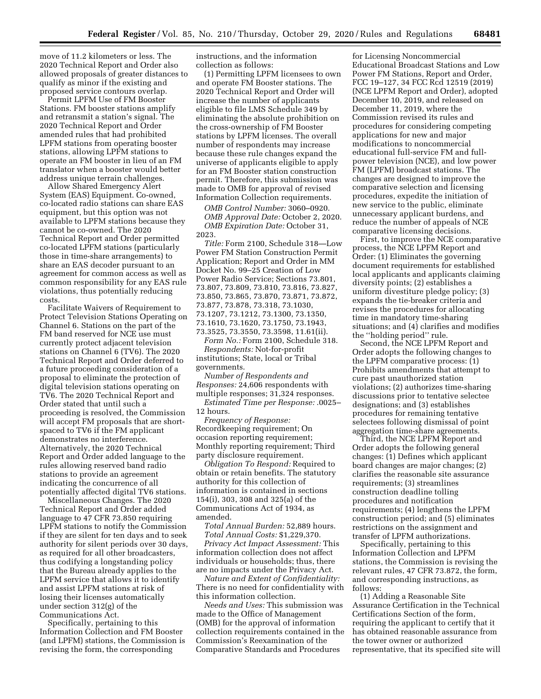move of 11.2 kilometers or less. The 2020 Technical Report and Order also allowed proposals of greater distances to qualify as minor if the existing and proposed service contours overlap.

Permit LPFM Use of FM Booster Stations. FM booster stations amplify and retransmit a station's signal. The 2020 Technical Report and Order amended rules that had prohibited LPFM stations from operating booster stations, allowing LPFM stations to operate an FM booster in lieu of an FM translator when a booster would better address unique terrain challenges.

Allow Shared Emergency Alert System (EAS) Equipment. Co-owned, co-located radio stations can share EAS equipment, but this option was not available to LPFM stations because they cannot be co-owned. The 2020 Technical Report and Order permitted co-located LPFM stations (particularly those in time-share arrangements) to share an EAS decoder pursuant to an agreement for common access as well as common responsibility for any EAS rule violations, thus potentially reducing costs.

Facilitate Waivers of Requirement to Protect Television Stations Operating on Channel 6. Stations on the part of the FM band reserved for NCE use must currently protect adjacent television stations on Channel 6 (TV6). The 2020 Technical Report and Order deferred to a future proceeding consideration of a proposal to eliminate the protection of digital television stations operating on TV6. The 2020 Technical Report and Order stated that until such a proceeding is resolved, the Commission will accept FM proposals that are shortspaced to TV6 if the FM applicant demonstrates no interference. Alternatively, the 2020 Technical Report and Order added language to the rules allowing reserved band radio stations to provide an agreement indicating the concurrence of all potentially affected digital TV6 stations.

Miscellaneous Changes. The 2020 Technical Report and Order added language to 47 CFR 73.850 requiring LPFM stations to notify the Commission if they are silent for ten days and to seek authority for silent periods over 30 days, as required for all other broadcasters, thus codifying a longstanding policy that the Bureau already applies to the LPFM service that allows it to identify and assist LPFM stations at risk of losing their licenses automatically under section 312(g) of the Communications Act.

Specifically, pertaining to this Information Collection and FM Booster (and LPFM) stations, the Commission is revising the form, the corresponding

instructions, and the information collection as follows:

(1) Permitting LPFM licensees to own and operate FM Booster stations. The 2020 Technical Report and Order will increase the number of applicants eligible to file LMS Schedule 349 by eliminating the absolute prohibition on the cross-ownership of FM Booster stations by LPFM licenses. The overall number of respondents may increase because these rule changes expand the universe of applicants eligible to apply for an FM Booster station construction permit. Therefore, this submission was made to OMB for approval of revised Information Collection requirements.

*OMB Control Number:* 3060–0920.

*OMB Approval Date:* October 2, 2020. *OMB Expiration Date:* October 31, 2023.

*Title:* Form 2100, Schedule 318—Low Power FM Station Construction Permit Application; Report and Order in MM Docket No. 99–25 Creation of Low Power Radio Service; Sections 73.801, 73.807, 73.809, 73.810, 73.816, 73.827, 73.850, 73.865, 73.870, 73.871, 73.872, 73.877, 73.878, 73.318, 73.1030, 73.1207, 73.1212, 73.1300, 73.1350, 73.1610, 73.1620, 73.1750, 73.1943, 73.3525, 73.3550, 73.3598, 11.61(ii).

*Form No.:* Form 2100, Schedule 318. *Respondents:* Not-for-profit institutions; State, local or Tribal governments.

*Number of Respondents and Responses:* 24,606 respondents with multiple responses; 31,324 responses. *Estimated Time per Response:* .0025–

12 hours.

*Frequency of Response:*  Recordkeeping requirement; On occasion reporting requirement; Monthly reporting requirement; Third party disclosure requirement.

*Obligation To Respond:* Required to obtain or retain benefits. The statutory authority for this collection of information is contained in sections 154(i), 303, 308 and 325(a) of the Communications Act of 1934, as amended.

*Total Annual Burden:* 52,889 hours.

*Total Annual Costs:* \$1,229,370. *Privacy Act Impact Assessment:* This information collection does not affect individuals or households; thus, there are no impacts under the Privacy Act.

*Nature and Extent of Confidentiality:*  There is no need for confidentiality with this information collection.

*Needs and Uses:* This submission was made to the Office of Management (OMB) for the approval of information collection requirements contained in the Commission's Reexamination of the Comparative Standards and Procedures

for Licensing Noncommercial Educational Broadcast Stations and Low Power FM Stations, Report and Order, FCC 19–127, 34 FCC Rcd 12519 (2019) (NCE LPFM Report and Order), adopted December 10, 2019, and released on December 11, 2019, where the Commission revised its rules and procedures for considering competing applications for new and major modifications to noncommercial educational full-service FM and fullpower television (NCE), and low power FM (LPFM) broadcast stations. The changes are designed to improve the comparative selection and licensing procedures, expedite the initiation of new service to the public, eliminate unnecessary applicant burdens, and reduce the number of appeals of NCE comparative licensing decisions.

First, to improve the NCE comparative process, the NCE LPFM Report and Order: (1) Eliminates the governing document requirements for established local applicants and applicants claiming diversity points; (2) establishes a uniform divestiture pledge policy; (3) expands the tie-breaker criteria and revises the procedures for allocating time in mandatory time-sharing situations; and (4) clarifies and modifies the ''holding period'' rule.

Second, the NCE LPFM Report and Order adopts the following changes to the LPFM comparative process: (1) Prohibits amendments that attempt to cure past unauthorized station violations; (2) authorizes time-sharing discussions prior to tentative selectee designations; and (3) establishes procedures for remaining tentative selectees following dismissal of point aggregation time-share agreements.

Third, the NCE LPFM Report and Order adopts the following general changes: (1) Defines which applicant board changes are major changes; (2) clarifies the reasonable site assurance requirements; (3) streamlines construction deadline tolling procedures and notification requirements; (4) lengthens the LPFM construction period; and (5) eliminates restrictions on the assignment and transfer of LPFM authorizations.

Specifically, pertaining to this Information Collection and LPFM stations, the Commission is revising the relevant rules, 47 CFR 73.872, the form, and corresponding instructions, as follows:

(1) Adding a Reasonable Site Assurance Certification in the Technical Certifications Section of the form, requiring the applicant to certify that it has obtained reasonable assurance from the tower owner or authorized representative, that its specified site will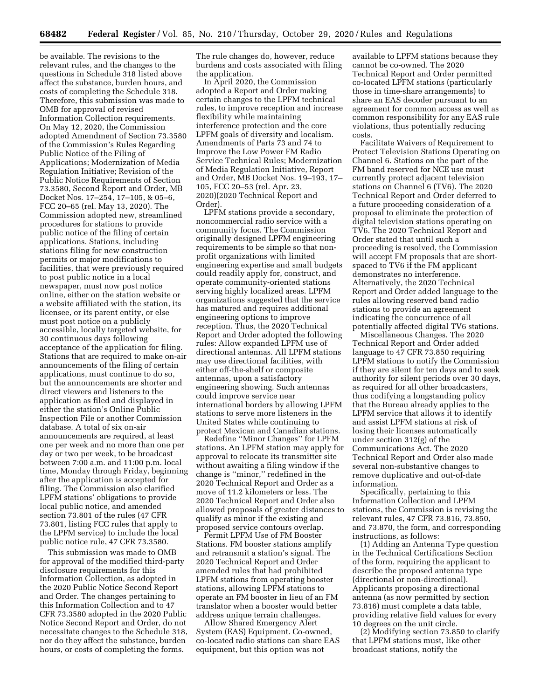be available. The revisions to the relevant rules, and the changes to the questions in Schedule 318 listed above affect the substance, burden hours, and costs of completing the Schedule 318. Therefore, this submission was made to OMB for approval of revised Information Collection requirements. On May 12, 2020, the Commission adopted Amendment of Section 73.3580 of the Commission's Rules Regarding Public Notice of the Filing of Applications; Modernization of Media Regulation Initiative; Revision of the Public Notice Requirements of Section 73.3580, Second Report and Order, MB Docket Nos. 17–254, 17–105, & 05–6, FCC 20–65 (rel. May 13, 2020). The Commission adopted new, streamlined procedures for stations to provide public notice of the filing of certain applications. Stations, including stations filing for new construction permits or major modifications to facilities, that were previously required to post public notice in a local newspaper, must now post notice online, either on the station website or a website affiliated with the station, its licensee, or its parent entity, or else must post notice on a publicly accessible, locally targeted website, for 30 continuous days following acceptance of the application for filing. Stations that are required to make on-air announcements of the filing of certain applications, must continue to do so, but the announcements are shorter and direct viewers and listeners to the application as filed and displayed in either the station's Online Public Inspection File or another Commission database. A total of six on-air announcements are required, at least one per week and no more than one per day or two per week, to be broadcast between 7:00 a.m. and 11:00 p.m. local time, Monday through Friday, beginning after the application is accepted for filing. The Commission also clarified LPFM stations' obligations to provide local public notice, and amended section 73.801 of the rules (47 CFR 73.801, listing FCC rules that apply to the LPFM service) to include the local public notice rule, 47 CFR 73.3580.

This submission was made to OMB for approval of the modified third-party disclosure requirements for this Information Collection, as adopted in the 2020 Public Notice Second Report and Order. The changes pertaining to this Information Collection and to 47 CFR 73.3580 adopted in the 2020 Public Notice Second Report and Order, do not necessitate changes to the Schedule 318, nor do they affect the substance, burden hours, or costs of completing the forms.

The rule changes do, however, reduce burdens and costs associated with filing the application.

In April 2020, the Commission adopted a Report and Order making certain changes to the LPFM technical rules, to improve reception and increase flexibility while maintaining interference protection and the core LPFM goals of diversity and localism. Amendments of Parts 73 and 74 to Improve the Low Power FM Radio Service Technical Rules; Modernization of Media Regulation Initiative, Report and Order, MB Docket Nos. 19–193, 17– 105, FCC 20–53 (rel. Apr. 23, 2020)(2020 Technical Report and Order).

LPFM stations provide a secondary, noncommercial radio service with a community focus. The Commission originally designed LPFM engineering requirements to be simple so that nonprofit organizations with limited engineering expertise and small budgets could readily apply for, construct, and operate community-oriented stations serving highly localized areas. LPFM organizations suggested that the service has matured and requires additional engineering options to improve reception. Thus, the 2020 Technical Report and Order adopted the following rules: Allow expanded LPFM use of directional antennas. All LPFM stations may use directional facilities, with either off-the-shelf or composite antennas, upon a satisfactory engineering showing. Such antennas could improve service near international borders by allowing LPFM stations to serve more listeners in the United States while continuing to protect Mexican and Canadian stations.

Redefine ''Minor Changes'' for LPFM stations. An LPFM station may apply for approval to relocate its transmitter site without awaiting a filing window if the change is ''minor,'' redefined in the 2020 Technical Report and Order as a move of 11.2 kilometers or less. The 2020 Technical Report and Order also allowed proposals of greater distances to qualify as minor if the existing and proposed service contours overlap.

Permit LPFM Use of FM Booster Stations. FM booster stations amplify and retransmit a station's signal. The 2020 Technical Report and Order amended rules that had prohibited LPFM stations from operating booster stations, allowing LPFM stations to operate an FM booster in lieu of an FM translator when a booster would better address unique terrain challenges.

Allow Shared Emergency Alert System (EAS) Equipment. Co-owned, co-located radio stations can share EAS equipment, but this option was not

available to LPFM stations because they cannot be co-owned. The 2020 Technical Report and Order permitted co-located LPFM stations (particularly those in time-share arrangements) to share an EAS decoder pursuant to an agreement for common access as well as common responsibility for any EAS rule violations, thus potentially reducing costs.

Facilitate Waivers of Requirement to Protect Television Stations Operating on Channel 6. Stations on the part of the FM band reserved for NCE use must currently protect adjacent television stations on Channel 6 (TV6). The 2020 Technical Report and Order deferred to a future proceeding consideration of a proposal to eliminate the protection of digital television stations operating on TV6. The 2020 Technical Report and Order stated that until such a proceeding is resolved, the Commission will accept FM proposals that are shortspaced to TV6 if the FM applicant demonstrates no interference. Alternatively, the 2020 Technical Report and Order added language to the rules allowing reserved band radio stations to provide an agreement indicating the concurrence of all potentially affected digital TV6 stations.

Miscellaneous Changes. The 2020 Technical Report and Order added language to 47 CFR 73.850 requiring LPFM stations to notify the Commission if they are silent for ten days and to seek authority for silent periods over 30 days, as required for all other broadcasters, thus codifying a longstanding policy that the Bureau already applies to the LPFM service that allows it to identify and assist LPFM stations at risk of losing their licenses automatically under section 312(g) of the Communications Act. The 2020 Technical Report and Order also made several non-substantive changes to remove duplicative and out-of-date information.

Specifically, pertaining to this Information Collection and LPFM stations, the Commission is revising the relevant rules, 47 CFR 73.816, 73.850, and 73.870, the form, and corresponding instructions, as follows:

(1) Adding an Antenna Type question in the Technical Certifications Section of the form, requiring the applicant to describe the proposed antenna type (directional or non-directional). Applicants proposing a directional antenna (as now permitted by section 73.816) must complete a data table, providing relative field values for every 10 degrees on the unit circle.

(2) Modifying section 73.850 to clarify that LPFM stations must, like other broadcast stations, notify the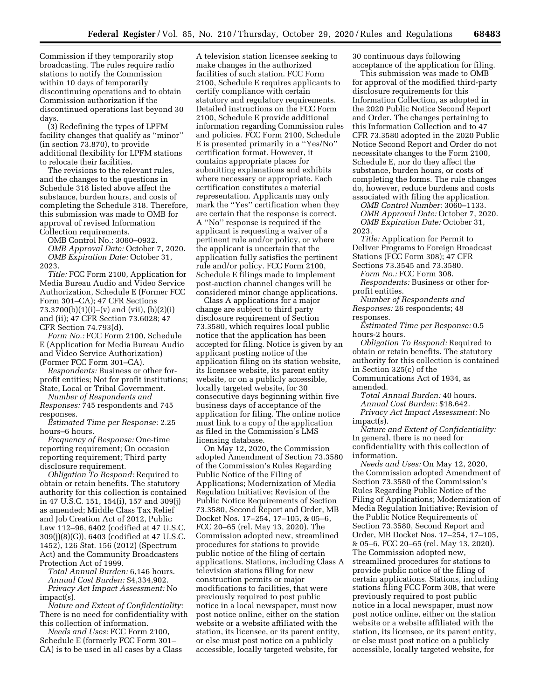Commission if they temporarily stop broadcasting. The rules require radio stations to notify the Commission within 10 days of temporarily discontinuing operations and to obtain Commission authorization if the discontinued operations last beyond 30 days.

(3) Redefining the types of LPFM facility changes that qualify as ''minor'' (in section 73.870), to provide additional flexibility for LPFM stations to relocate their facilities.

The revisions to the relevant rules, and the changes to the questions in Schedule 318 listed above affect the substance, burden hours, and costs of completing the Schedule 318. Therefore, this submission was made to OMB for approval of revised Information Collection requirements.

OMB Control No.: 3060–0932. *OMB Approval Date:* October 7, 2020. *OMB Expiration Date:* October 31, 2023.

*Title:* FCC Form 2100, Application for Media Bureau Audio and Video Service Authorization, Schedule E (Former FCC Form 301–CA); 47 CFR Sections 73.3700(b)(1)(i)–(v) and (vii), (b)(2)(i) and (ii); 47 CFR Section 73.6028; 47 CFR Section 74.793(d).

*Form No.:* FCC Form 2100, Schedule E (Application for Media Bureau Audio and Video Service Authorization) (Former FCC Form 301–CA).

*Respondents:* Business or other forprofit entities; Not for profit institutions; State, Local or Tribal Government.

*Number of Respondents and Responses:* 745 respondents and 745 responses.

*Estimated Time per Response:* 2.25 hours–6 hours.

*Frequency of Response:* One-time reporting requirement; On occasion reporting requirement; Third party disclosure requirement.

*Obligation To Respond:* Required to obtain or retain benefits. The statutory authority for this collection is contained in 47 U.S.C. 151, 154(i), 157 and 309(j) as amended; Middle Class Tax Relief and Job Creation Act of 2012, Public Law 112–96, 6402 (codified at 47 U.S.C. 309(j)(8)(G)), 6403 (codified at 47 U.S.C. 1452), 126 Stat. 156 (2012) (Spectrum Act) and the Community Broadcasters Protection Act of 1999.

*Total Annual Burden:* 6,146 hours. *Annual Cost Burden:* \$4,334,902. *Privacy Act Impact Assessment:* No impact(s).

*Nature and Extent of Confidentiality:*  There is no need for confidentiality with this collection of information.

*Needs and Uses:* FCC Form 2100, Schedule E (formerly FCC Form 301– CA) is to be used in all cases by a Class

A television station licensee seeking to make changes in the authorized facilities of such station. FCC Form 2100, Schedule E requires applicants to certify compliance with certain statutory and regulatory requirements. Detailed instructions on the FCC Form 2100, Schedule E provide additional information regarding Commission rules and policies. FCC Form 2100, Schedule E is presented primarily in a ''Yes/No'' certification format. However, it contains appropriate places for submitting explanations and exhibits where necessary or appropriate. Each certification constitutes a material representation. Applicants may only mark the "Yes" certification when they are certain that the response is correct. A ''No'' response is required if the applicant is requesting a waiver of a pertinent rule and/or policy, or where the applicant is uncertain that the application fully satisfies the pertinent rule and/or policy. FCC Form 2100, Schedule E filings made to implement post-auction channel changes will be considered minor change applications.

Class A applications for a major change are subject to third party disclosure requirement of Section 73.3580, which requires local public notice that the application has been accepted for filing. Notice is given by an applicant posting notice of the application filing on its station website, its licensee website, its parent entity website, or on a publicly accessible, locally targeted website, for 30 consecutive days beginning within five business days of acceptance of the application for filing. The online notice must link to a copy of the application as filed in the Commission's LMS licensing database.

On May 12, 2020, the Commission adopted Amendment of Section 73.3580 of the Commission's Rules Regarding Public Notice of the Filing of Applications; Modernization of Media Regulation Initiative; Revision of the Public Notice Requirements of Section 73.3580, Second Report and Order, MB Docket Nos. 17–254, 17–105, & 05–6, FCC 20–65 (rel. May 13, 2020). The Commission adopted new, streamlined procedures for stations to provide public notice of the filing of certain applications. Stations, including Class A television stations filing for new construction permits or major modifications to facilities, that were previously required to post public notice in a local newspaper, must now post notice online, either on the station website or a website affiliated with the station, its licensee, or its parent entity, or else must post notice on a publicly accessible, locally targeted website, for

30 continuous days following acceptance of the application for filing.

This submission was made to OMB for approval of the modified third-party disclosure requirements for this Information Collection, as adopted in the 2020 Public Notice Second Report and Order. The changes pertaining to this Information Collection and to 47 CFR 73.3580 adopted in the 2020 Public Notice Second Report and Order do not necessitate changes to the Form 2100, Schedule E, nor do they affect the substance, burden hours, or costs of completing the forms. The rule changes do, however, reduce burdens and costs associated with filing the application.

*OMB Control Number:* 3060–1133.

*OMB Approval Date:* October 7, 2020. *OMB Expiration Date:* October 31, 2023.

*Title:* Application for Permit to Deliver Programs to Foreign Broadcast Stations (FCC Form 308); 47 CFR Sections 73.3545 and 73.3580.

*Form No.:* FCC Form 308.

*Respondents:* Business or other forprofit entities.

*Number of Respondents and Responses:* 26 respondents; 48 responses.

*Estimated Time per Response:* 0.5 hours-2 hours.

*Obligation To Respond:* Required to obtain or retain benefits. The statutory authority for this collection is contained in Section 325(c) of the

Communications Act of 1934, as amended.

*Total Annual Burden:* 40 hours.

*Annual Cost Burden:* \$18,642.

*Privacy Act Impact Assessment:* No impact(s).

*Nature and Extent of Confidentiality:*  In general, there is no need for confidentiality with this collection of information.

*Needs and Uses:* On May 12, 2020, the Commission adopted Amendment of Section 73.3580 of the Commission's Rules Regarding Public Notice of the Filing of Applications; Modernization of Media Regulation Initiative; Revision of the Public Notice Requirements of Section 73.3580, Second Report and Order, MB Docket Nos. 17–254, 17–105, & 05–6, FCC 20–65 (rel. May 13, 2020). The Commission adopted new, streamlined procedures for stations to provide public notice of the filing of certain applications. Stations, including stations filing FCC Form 308, that were previously required to post public notice in a local newspaper, must now post notice online, either on the station website or a website affiliated with the station, its licensee, or its parent entity, or else must post notice on a publicly accessible, locally targeted website, for